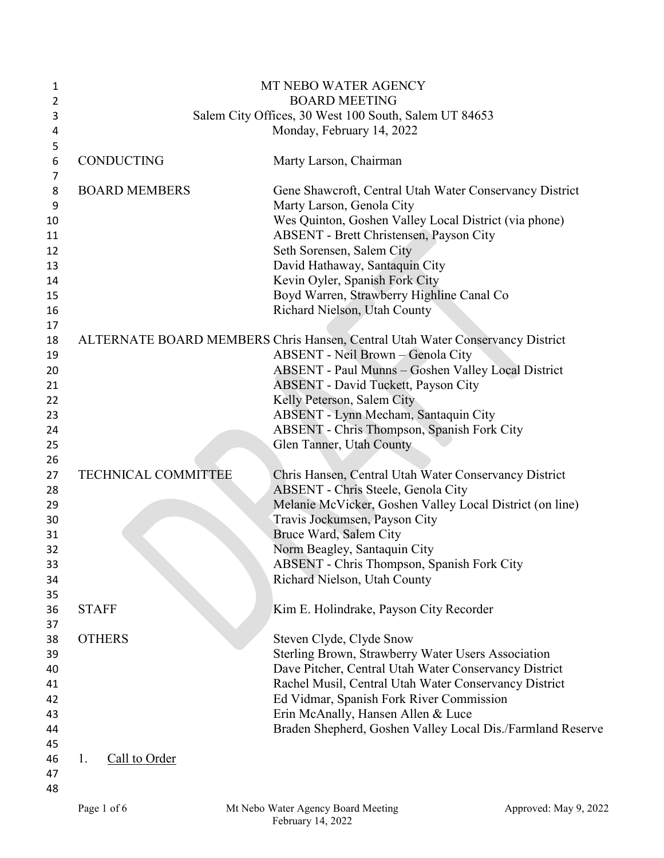| 1      |                                                       | MT NEBO WATER AGENCY                                                          |  |
|--------|-------------------------------------------------------|-------------------------------------------------------------------------------|--|
| 2      |                                                       | <b>BOARD MEETING</b>                                                          |  |
| 3      | Salem City Offices, 30 West 100 South, Salem UT 84653 |                                                                               |  |
| 4      |                                                       | Monday, February 14, 2022                                                     |  |
| 5      |                                                       |                                                                               |  |
| 6<br>7 | <b>CONDUCTING</b>                                     | Marty Larson, Chairman                                                        |  |
| 8      | <b>BOARD MEMBERS</b>                                  | Gene Shawcroft, Central Utah Water Conservancy District                       |  |
| 9      |                                                       | Marty Larson, Genola City                                                     |  |
| 10     |                                                       | Wes Quinton, Goshen Valley Local District (via phone)                         |  |
| 11     |                                                       | <b>ABSENT</b> - Brett Christensen, Payson City                                |  |
| 12     |                                                       | Seth Sorensen, Salem City                                                     |  |
| 13     |                                                       | David Hathaway, Santaquin City                                                |  |
| 14     |                                                       | Kevin Oyler, Spanish Fork City                                                |  |
| 15     |                                                       | Boyd Warren, Strawberry Highline Canal Co                                     |  |
| 16     |                                                       | Richard Nielson, Utah County                                                  |  |
| 17     |                                                       |                                                                               |  |
| 18     |                                                       | ALTERNATE BOARD MEMBERS Chris Hansen, Central Utah Water Conservancy District |  |
| 19     |                                                       | ABSENT - Neil Brown - Genola City                                             |  |
| 20     |                                                       | <b>ABSENT</b> - Paul Munns - Goshen Valley Local District                     |  |
| 21     |                                                       | <b>ABSENT - David Tuckett, Payson City</b>                                    |  |
| 22     |                                                       | Kelly Peterson, Salem City                                                    |  |
| 23     |                                                       | ABSENT - Lynn Mecham, Santaquin City                                          |  |
| 24     |                                                       | ABSENT - Chris Thompson, Spanish Fork City                                    |  |
| 25     |                                                       | Glen Tanner, Utah County                                                      |  |
| 26     |                                                       |                                                                               |  |
| 27     | <b>TECHNICAL COMMITTEE</b>                            | Chris Hansen, Central Utah Water Conservancy District                         |  |
| 28     |                                                       | ABSENT - Chris Steele, Genola City                                            |  |
| 29     |                                                       | Melanie McVicker, Goshen Valley Local District (on line)                      |  |
| 30     |                                                       | Travis Jockumsen, Payson City                                                 |  |
| 31     |                                                       | Bruce Ward, Salem City                                                        |  |
| 32     |                                                       | Norm Beagley, Santaquin City                                                  |  |
| 33     |                                                       | ABSENT - Chris Thompson, Spanish Fork City                                    |  |
| 34     |                                                       | Richard Nielson, Utah County                                                  |  |
| 35     |                                                       |                                                                               |  |
| 36     | <b>STAFF</b>                                          | Kim E. Holindrake, Payson City Recorder                                       |  |
| 37     |                                                       |                                                                               |  |
| 38     | <b>OTHERS</b>                                         | Steven Clyde, Clyde Snow                                                      |  |
| 39     |                                                       | Sterling Brown, Strawberry Water Users Association                            |  |
| 40     |                                                       | Dave Pitcher, Central Utah Water Conservancy District                         |  |
| 41     |                                                       | Rachel Musil, Central Utah Water Conservancy District                         |  |
| 42     |                                                       | Ed Vidmar, Spanish Fork River Commission                                      |  |
| 43     |                                                       | Erin McAnally, Hansen Allen & Luce                                            |  |
| 44     |                                                       | Braden Shepherd, Goshen Valley Local Dis./Farmland Reserve                    |  |
| 45     |                                                       |                                                                               |  |
| 46     | Call to Order<br>1.                                   |                                                                               |  |
| 47     |                                                       |                                                                               |  |
| 48     |                                                       |                                                                               |  |
|        |                                                       |                                                                               |  |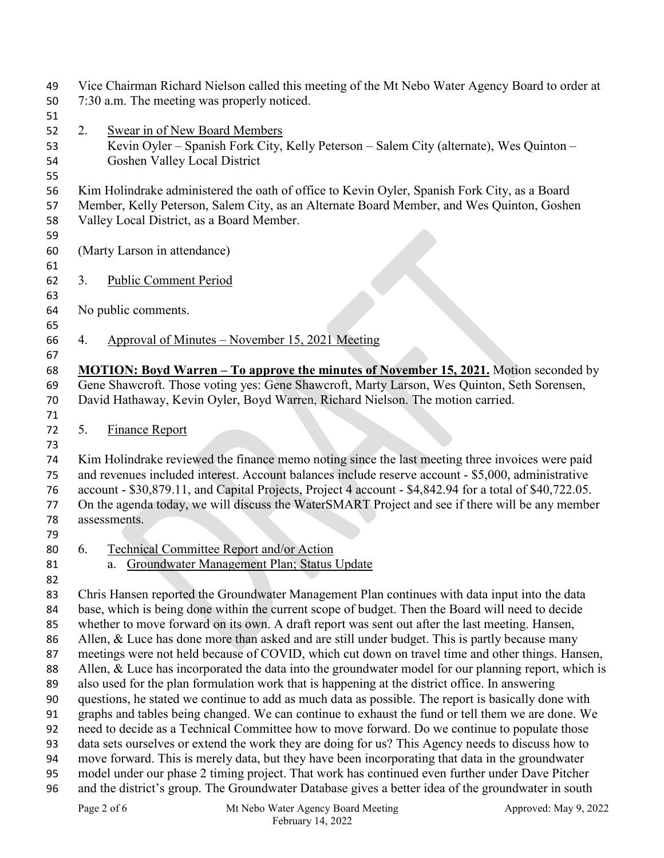| 49 |                                                                                                     | Vice Chairman Richard Nielson called this meeting of the Mt Nebo Water Agency Board to order at         |  |
|----|-----------------------------------------------------------------------------------------------------|---------------------------------------------------------------------------------------------------------|--|
| 50 | 7:30 a.m. The meeting was properly noticed.                                                         |                                                                                                         |  |
| 51 |                                                                                                     |                                                                                                         |  |
| 52 | 2.                                                                                                  | <b>Swear in of New Board Members</b>                                                                    |  |
| 53 |                                                                                                     | Kevin Oyler - Spanish Fork City, Kelly Peterson - Salem City (alternate), Wes Quinton -                 |  |
| 54 |                                                                                                     | Goshen Valley Local District                                                                            |  |
| 55 |                                                                                                     |                                                                                                         |  |
| 56 |                                                                                                     | Kim Holindrake administered the oath of office to Kevin Oyler, Spanish Fork City, as a Board            |  |
| 57 |                                                                                                     | Member, Kelly Peterson, Salem City, as an Alternate Board Member, and Wes Quinton, Goshen               |  |
| 58 |                                                                                                     | Valley Local District, as a Board Member.                                                               |  |
| 59 |                                                                                                     |                                                                                                         |  |
| 60 |                                                                                                     | (Marty Larson in attendance)                                                                            |  |
| 61 |                                                                                                     |                                                                                                         |  |
| 62 | 3.                                                                                                  | <b>Public Comment Period</b>                                                                            |  |
| 63 |                                                                                                     |                                                                                                         |  |
| 64 |                                                                                                     | No public comments.                                                                                     |  |
|    |                                                                                                     |                                                                                                         |  |
| 65 | 4.                                                                                                  | Approval of Minutes – November 15, 2021 Meeting                                                         |  |
| 66 |                                                                                                     |                                                                                                         |  |
| 67 |                                                                                                     |                                                                                                         |  |
| 68 |                                                                                                     | MOTION: Boyd Warren - To approve the minutes of November 15, 2021. Motion seconded by                   |  |
| 69 |                                                                                                     | Gene Shawcroft. Those voting yes: Gene Shawcroft, Marty Larson, Wes Quinton, Seth Sorensen,             |  |
| 70 |                                                                                                     | David Hathaway, Kevin Oyler, Boyd Warren, Richard Nielson. The motion carried.                          |  |
| 71 |                                                                                                     |                                                                                                         |  |
| 72 | 5.                                                                                                  | <b>Finance Report</b>                                                                                   |  |
| 73 |                                                                                                     |                                                                                                         |  |
| 74 | Kim Holindrake reviewed the finance memo noting since the last meeting three invoices were paid     |                                                                                                         |  |
| 75 | and revenues included interest. Account balances include reserve account - \$5,000, administrative  |                                                                                                         |  |
| 76 |                                                                                                     | account - \$30,879.11, and Capital Projects, Project 4 account - \$4,842.94 for a total of \$40,722.05. |  |
| 77 |                                                                                                     | On the agenda today, we will discuss the WaterSMART Project and see if there will be any member         |  |
| 78 |                                                                                                     | assessments.                                                                                            |  |
| 79 |                                                                                                     |                                                                                                         |  |
| 80 | 6.                                                                                                  | Technical Committee Report and/or Action                                                                |  |
| 81 |                                                                                                     | a. Groundwater Management Plan; Status Update                                                           |  |
| 82 |                                                                                                     |                                                                                                         |  |
| 83 |                                                                                                     | Chris Hansen reported the Groundwater Management Plan continues with data input into the data           |  |
| 84 |                                                                                                     | base, which is being done within the current scope of budget. Then the Board will need to decide        |  |
| 85 |                                                                                                     | whether to move forward on its own. A draft report was sent out after the last meeting. Hansen,         |  |
| 86 |                                                                                                     | Allen, & Luce has done more than asked and are still under budget. This is partly because many          |  |
| 87 |                                                                                                     | meetings were not held because of COVID, which cut down on travel time and other things. Hansen,        |  |
| 88 |                                                                                                     | Allen, & Luce has incorporated the data into the groundwater model for our planning report, which is    |  |
| 89 |                                                                                                     | also used for the plan formulation work that is happening at the district office. In answering          |  |
| 90 | questions, he stated we continue to add as much data as possible. The report is basically done with |                                                                                                         |  |
| 91 | graphs and tables being changed. We can continue to exhaust the fund or tell them we are done. We   |                                                                                                         |  |
| 92 | need to decide as a Technical Committee how to move forward. Do we continue to populate those       |                                                                                                         |  |
| 93 |                                                                                                     | data sets ourselves or extend the work they are doing for us? This Agency needs to discuss how to       |  |
| 94 |                                                                                                     | move forward. This is merely data, but they have been incorporating that data in the groundwater        |  |
| 95 |                                                                                                     | model under our phase 2 timing project. That work has continued even further under Dave Pitcher         |  |
| 96 |                                                                                                     | and the district's group. The Groundwater Database gives a better idea of the groundwater in south      |  |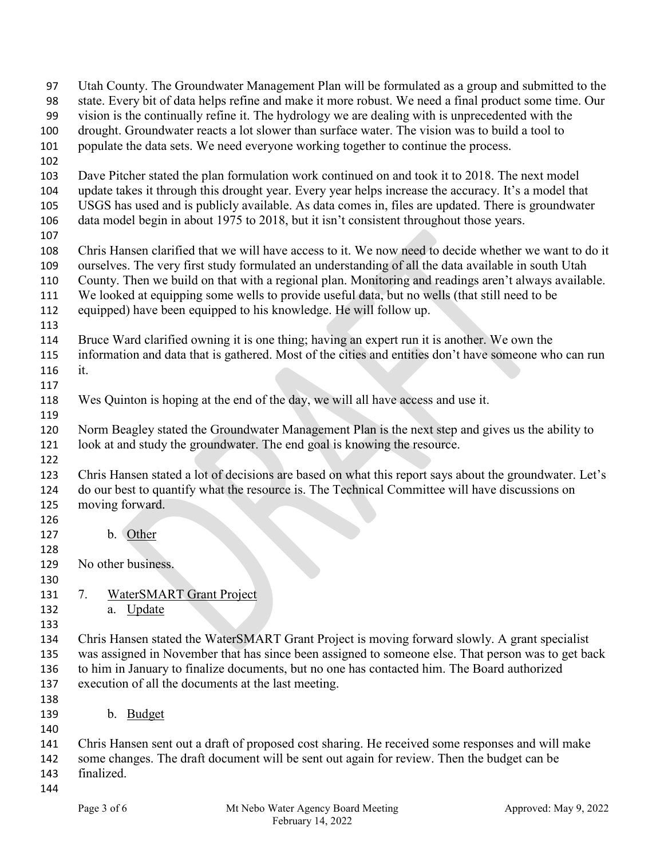| 97         | Utah County. The Groundwater Management Plan will be formulated as a group and submitted to the          |  |  |
|------------|----------------------------------------------------------------------------------------------------------|--|--|
| 98         | state. Every bit of data helps refine and make it more robust. We need a final product some time. Our    |  |  |
| 99         | vision is the continually refine it. The hydrology we are dealing with is unprecedented with the         |  |  |
| 100        | drought. Groundwater reacts a lot slower than surface water. The vision was to build a tool to           |  |  |
| 101        | populate the data sets. We need everyone working together to continue the process.                       |  |  |
| 102        |                                                                                                          |  |  |
| 103        | Dave Pitcher stated the plan formulation work continued on and took it to 2018. The next model           |  |  |
| 104        | update takes it through this drought year. Every year helps increase the accuracy. It's a model that     |  |  |
| 105        | USGS has used and is publicly available. As data comes in, files are updated. There is groundwater       |  |  |
| 106        | data model begin in about 1975 to 2018, but it isn't consistent throughout those years.                  |  |  |
| 107        |                                                                                                          |  |  |
| 108        | Chris Hansen clarified that we will have access to it. We now need to decide whether we want to do it    |  |  |
| 109        | ourselves. The very first study formulated an understanding of all the data available in south Utah      |  |  |
| 110        | County. Then we build on that with a regional plan. Monitoring and readings aren't always available.     |  |  |
| 111        | We looked at equipping some wells to provide useful data, but no wells (that still need to be            |  |  |
| 112        | equipped) have been equipped to his knowledge. He will follow up.                                        |  |  |
| 113        |                                                                                                          |  |  |
| 114        | Bruce Ward clarified owning it is one thing; having an expert run it is another. We own the              |  |  |
| 115        | information and data that is gathered. Most of the cities and entities don't have someone who can run    |  |  |
| 116        | it.                                                                                                      |  |  |
| 117        |                                                                                                          |  |  |
| 118        | Wes Quinton is hoping at the end of the day, we will all have access and use it.                         |  |  |
| 119        |                                                                                                          |  |  |
| 120        | Norm Beagley stated the Groundwater Management Plan is the next step and gives us the ability to         |  |  |
| 121        | look at and study the groundwater. The end goal is knowing the resource.                                 |  |  |
| 122        |                                                                                                          |  |  |
| 123        | Chris Hansen stated a lot of decisions are based on what this report says about the groundwater. Let's   |  |  |
| 124        | do our best to quantify what the resource is. The Technical Committee will have discussions on           |  |  |
| 125        | moving forward.                                                                                          |  |  |
| 126        |                                                                                                          |  |  |
| 127        | b. Other                                                                                                 |  |  |
| 128        |                                                                                                          |  |  |
| 129        | No other business.                                                                                       |  |  |
| 130        |                                                                                                          |  |  |
| 131        | 7.<br><b>WaterSMART Grant Project</b>                                                                    |  |  |
| 132        | a. Update                                                                                                |  |  |
| 133        |                                                                                                          |  |  |
| 134        | Chris Hansen stated the WaterSMART Grant Project is moving forward slowly. A grant specialist            |  |  |
| 135        | was assigned in November that has since been assigned to someone else. That person was to get back       |  |  |
| 136        | to him in January to finalize documents, but no one has contacted him. The Board authorized              |  |  |
| 137        | execution of all the documents at the last meeting.                                                      |  |  |
| 138        |                                                                                                          |  |  |
| 139        | Budget<br>$\mathbf{b}$ .                                                                                 |  |  |
|            |                                                                                                          |  |  |
| 140<br>141 |                                                                                                          |  |  |
| 142        | Chris Hansen sent out a draft of proposed cost sharing. He received some responses and will make         |  |  |
|            | some changes. The draft document will be sent out again for review. Then the budget can be<br>finalized. |  |  |
| 143        |                                                                                                          |  |  |
| 144        |                                                                                                          |  |  |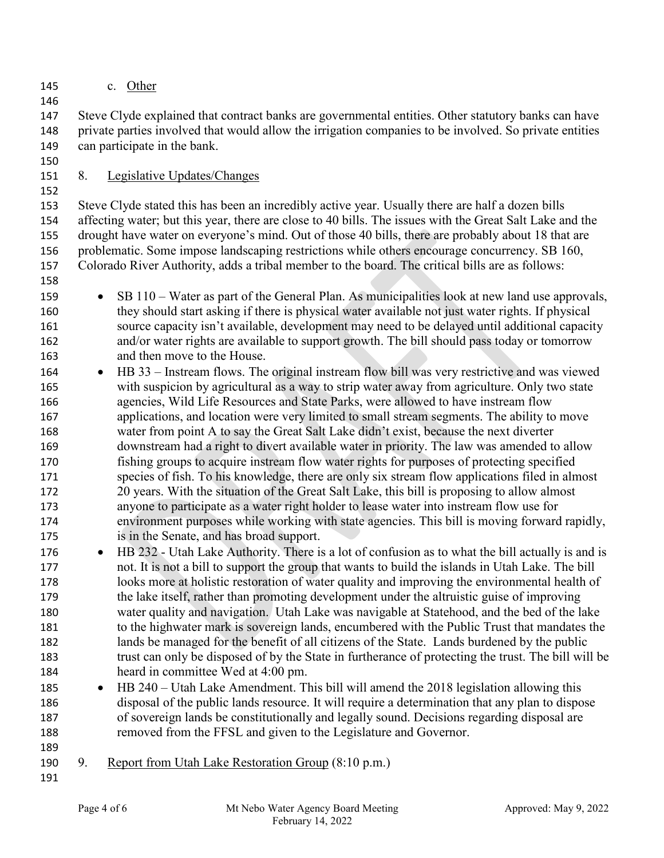c. Other

 Steve Clyde explained that contract banks are governmental entities. Other statutory banks can have private parties involved that would allow the irrigation companies to be involved. So private entities can participate in the bank.

8. Legislative Updates/Changes

 Steve Clyde stated this has been an incredibly active year. Usually there are half a dozen bills affecting water; but this year, there are close to 40 bills. The issues with the Great Salt Lake and the drought have water on everyone's mind. Out of those 40 bills, there are probably about 18 that are problematic. Some impose landscaping restrictions while others encourage concurrency. SB 160, Colorado River Authority, adds a tribal member to the board. The critical bills are as follows: 

- SB 110 Water as part of the General Plan. As municipalities look at new land use approvals, they should start asking if there is physical water available not just water rights. If physical source capacity isn't available, development may need to be delayed until additional capacity and/or water rights are available to support growth. The bill should pass today or tomorrow and then move to the House.
- HB 33 Instream flows. The original instream flow bill was very restrictive and was viewed with suspicion by agricultural as a way to strip water away from agriculture. Only two state agencies, Wild Life Resources and State Parks, were allowed to have instream flow applications, and location were very limited to small stream segments. The ability to move water from point A to say the Great Salt Lake didn't exist, because the next diverter downstream had a right to divert available water in priority. The law was amended to allow fishing groups to acquire instream flow water rights for purposes of protecting specified species of fish. To his knowledge, there are only six stream flow applications filed in almost 20 years. With the situation of the Great Salt Lake, this bill is proposing to allow almost anyone to participate as a water right holder to lease water into instream flow use for environment purposes while working with state agencies. This bill is moving forward rapidly, is in the Senate, and has broad support.
- HB 232 Utah Lake Authority. There is a lot of confusion as to what the bill actually is and is not. It is not a bill to support the group that wants to build the islands in Utah Lake. The bill looks more at holistic restoration of water quality and improving the environmental health of the lake itself, rather than promoting development under the altruistic guise of improving water quality and navigation. Utah Lake was navigable at Statehood, and the bed of the lake to the highwater mark is sovereign lands, encumbered with the Public Trust that mandates the lands be managed for the benefit of all citizens of the State. Lands burdened by the public trust can only be disposed of by the State in furtherance of protecting the trust. The bill will be heard in committee Wed at 4:00 pm.
- HB 240 Utah Lake Amendment. This bill will amend the 2018 legislation allowing this disposal of the public lands resource. It will require a determination that any plan to dispose of sovereign lands be constitutionally and legally sound. Decisions regarding disposal are removed from the FFSL and given to the Legislature and Governor.
- 9. Report from Utah Lake Restoration Group (8:10 p.m.)
-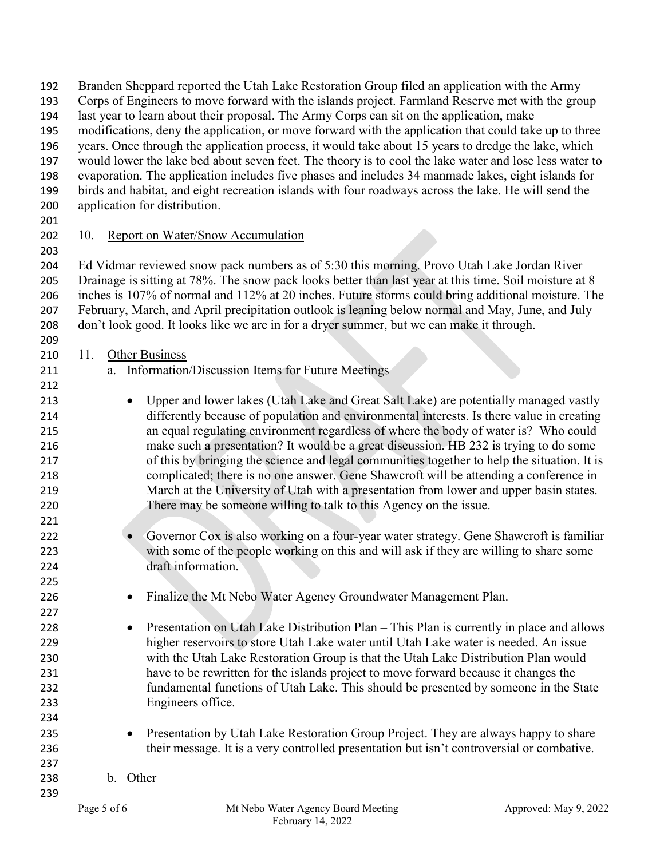| 192 | Branden Sheppard reported the Utah Lake Restoration Group filed an application with the Army           |
|-----|--------------------------------------------------------------------------------------------------------|
| 193 | Corps of Engineers to move forward with the islands project. Farmland Reserve met with the group       |
| 194 | last year to learn about their proposal. The Army Corps can sit on the application, make               |
| 195 | modifications, deny the application, or move forward with the application that could take up to three  |
| 196 | years. Once through the application process, it would take about 15 years to dredge the lake, which    |
| 197 | would lower the lake bed about seven feet. The theory is to cool the lake water and lose less water to |
| 198 | evaporation. The application includes five phases and includes 34 manmade lakes, eight islands for     |
| 199 | birds and habitat, and eight recreation islands with four roadways across the lake. He will send the   |
| 200 | application for distribution.                                                                          |
| 201 |                                                                                                        |
| 202 | Report on Water/Snow Accumulation<br>10.                                                               |
|     |                                                                                                        |
| 203 |                                                                                                        |
| 204 | Ed Vidmar reviewed snow pack numbers as of 5:30 this morning. Provo Utah Lake Jordan River             |
| 205 | Drainage is sitting at 78%. The snow pack looks better than last year at this time. Soil moisture at 8 |
| 206 | inches is 107% of normal and 112% at 20 inches. Future storms could bring additional moisture. The     |
| 207 | February, March, and April precipitation outlook is leaning below normal and May, June, and July       |
| 208 | don't look good. It looks like we are in for a dryer summer, but we can make it through.               |
| 209 |                                                                                                        |
| 210 | <b>Other Business</b><br>11.                                                                           |
| 211 | <b>Information/Discussion Items for Future Meetings</b><br>a.                                          |
| 212 |                                                                                                        |
| 213 | Upper and lower lakes (Utah Lake and Great Salt Lake) are potentially managed vastly                   |
| 214 | differently because of population and environmental interests. Is there value in creating              |
| 215 | an equal regulating environment regardless of where the body of water is? Who could                    |
| 216 | make such a presentation? It would be a great discussion. HB 232 is trying to do some                  |
| 217 | of this by bringing the science and legal communities together to help the situation. It is            |
| 218 | complicated; there is no one answer. Gene Shawcroft will be attending a conference in                  |
| 219 | March at the University of Utah with a presentation from lower and upper basin states.                 |
| 220 | There may be someone willing to talk to this Agency on the issue.                                      |
| 221 |                                                                                                        |
|     |                                                                                                        |
| 222 | Governor Cox is also working on a four-year water strategy. Gene Shawcroft is familiar                 |
| 223 | with some of the people working on this and will ask if they are willing to share some                 |
| 224 | draft information.                                                                                     |
| 225 |                                                                                                        |
| 226 | Finalize the Mt Nebo Water Agency Groundwater Management Plan.                                         |
| 227 |                                                                                                        |
| 228 | Presentation on Utah Lake Distribution Plan – This Plan is currently in place and allows               |
| 229 | higher reservoirs to store Utah Lake water until Utah Lake water is needed. An issue                   |
| 230 | with the Utah Lake Restoration Group is that the Utah Lake Distribution Plan would                     |
| 231 | have to be rewritten for the islands project to move forward because it changes the                    |
| 232 | fundamental functions of Utah Lake. This should be presented by someone in the State                   |
| 233 | Engineers office.                                                                                      |
| 234 |                                                                                                        |
| 235 | Presentation by Utah Lake Restoration Group Project. They are always happy to share                    |
| 236 | their message. It is a very controlled presentation but isn't controversial or combative.              |
| 237 |                                                                                                        |
| 238 | b. Other                                                                                               |
|     |                                                                                                        |
| 239 |                                                                                                        |